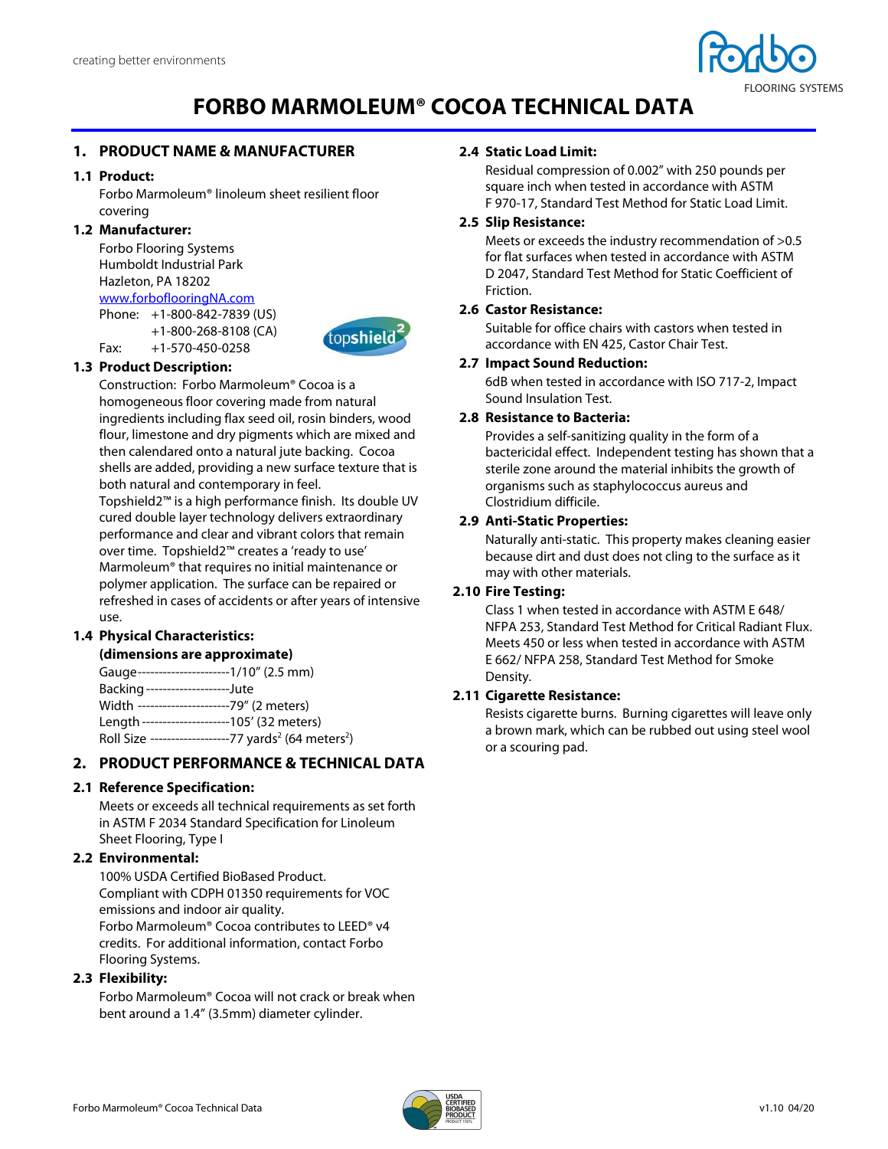

# **FORBO MARMOLEUM® COCOA TECHNICAL DATA**

### **1. PRODUCT NAME & MANUFACTURER**

#### **1.1 Product:**

Forbo Marmoleum® linoleum sheet resilient floor covering

#### **1.2 Manufacturer:**

Forbo Flooring Systems Humboldt Industrial Park Hazleton, PA 18202 www.forboflooringNA.com Phone: +1-800-842-7839 (US)

 +1-800-268-8108 (CA) Fax: +1-570-450-0258



## **1.3 Product Description:**

Construction: Forbo Marmoleum® Cocoa is a homogeneous floor covering made from natural ingredients including flax seed oil, rosin binders, wood flour, limestone and dry pigments which are mixed and then calendared onto a natural jute backing. Cocoa shells are added, providing a new surface texture that is both natural and contemporary in feel.

Topshield2™ is a high performance finish. Its double UV cured double layer technology delivers extraordinary performance and clear and vibrant colors that remain over time. Topshield2™ creates a 'ready to use' Marmoleum® that requires no initial maintenance or polymer application. The surface can be repaired or refreshed in cases of accidents or after years of intensive use.

#### **1.4 Physical Characteristics:**

#### **(dimensions are approximate)**

| Gauge-----------------------1/10" (2.5 mm)                                   |
|------------------------------------------------------------------------------|
| Backing --------------------Jute                                             |
| Width ----------------------79" (2 meters)                                   |
| Length ---------------------105' (32 meters)                                 |
| Roll Size -------------------77 yards <sup>2</sup> (64 meters <sup>2</sup> ) |
|                                                                              |

#### **2. PRODUCT PERFORMANCE & TECHNICAL DATA**

#### **2.1 Reference Specification:**

Meets or exceeds all technical requirements as set forth in ASTM F 2034 Standard Specification for Linoleum Sheet Flooring, Type I

#### **2.2 Environmental:**

100% USDA Certified BioBased Product. Compliant with CDPH 01350 requirements for VOC emissions and indoor air quality. Forbo Marmoleum® Cocoa contributes to LEED® v4 credits. For additional information, contact Forbo Flooring Systems.

#### **2.3 Flexibility:**

Forbo Marmoleum® Cocoa will not crack or break when bent around a 1.4" (3.5mm) diameter cylinder.

#### **2.4 Static Load Limit:**

Residual compression of 0.002" with 250 pounds per square inch when tested in accordance with ASTM F 970-17, Standard Test Method for Static Load Limit.

#### **2.5 Slip Resistance:**

Meets or exceeds the industry recommendation of >0.5 for flat surfaces when tested in accordance with ASTM D 2047, Standard Test Method for Static Coefficient of Friction.

#### **2.6 Castor Resistance:**

Suitable for office chairs with castors when tested in accordance with EN 425, Castor Chair Test.

#### **2.7 Impact Sound Reduction:**

6dB when tested in accordance with ISO 717-2, Impact Sound Insulation Test.

#### **2.8 Resistance to Bacteria:**

Provides a self-sanitizing quality in the form of a bactericidal effect. Independent testing has shown that a sterile zone around the material inhibits the growth of organisms such as staphylococcus aureus and Clostridium difficile.

#### **2.9 Anti-Static Properties:**

Naturally anti-static. This property makes cleaning easier because dirt and dust does not cling to the surface as it may with other materials.

## **2.10 Fire Testing:**

Class 1 when tested in accordance with ASTM E 648/ NFPA 253, Standard Test Method for Critical Radiant Flux. Meets 450 or less when tested in accordance with ASTM E 662/ NFPA 258, Standard Test Method for Smoke Density.

#### **2.11 Cigarette Resistance:**

Resists cigarette burns. Burning cigarettes will leave only a brown mark, which can be rubbed out using steel wool or a scouring pad.